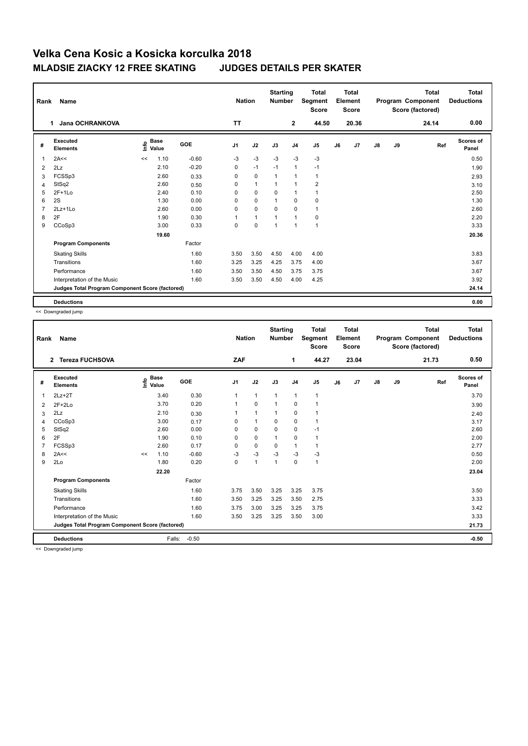## **Velka Cena Kosic a Kosicka korculka 2018 MLADSIE ZIACKY 12 FREE SKATING JUDGES DETAILS PER SKATER**

|                | Name<br>Rank                                    |    |                      |         |                |              | <b>Starting</b><br><b>Number</b> |                | <b>Total</b><br>Segment<br><b>Score</b> | <b>Total</b><br>Element<br><b>Score</b> |       |               |    | <b>Total</b><br>Program Component<br>Score (factored) | <b>Total</b><br><b>Deductions</b> |
|----------------|-------------------------------------------------|----|----------------------|---------|----------------|--------------|----------------------------------|----------------|-----------------------------------------|-----------------------------------------|-------|---------------|----|-------------------------------------------------------|-----------------------------------|
|                | Jana OCHRANKOVA<br>1                            |    |                      |         | <b>TT</b>      |              |                                  | $\overline{2}$ | 44.50                                   |                                         | 20.36 |               |    | 24.14                                                 | 0.00                              |
| #              | Executed<br><b>Elements</b>                     | e  | <b>Base</b><br>Value | GOE     | J <sub>1</sub> | J2           | J3                               | J <sub>4</sub> | J <sub>5</sub>                          | J6                                      | J7    | $\mathsf{J}8$ | J9 | Ref                                                   | <b>Scores of</b><br>Panel         |
| $\overline{1}$ | 2A<<                                            | << | 1.10                 | $-0.60$ | $-3$           | $-3$         | $-3$                             | $-3$           | $-3$                                    |                                         |       |               |    |                                                       | 0.50                              |
| 2              | 2Lz                                             |    | 2.10                 | $-0.20$ | 0              | $-1$         | $-1$                             | $\mathbf{1}$   | $-1$                                    |                                         |       |               |    |                                                       | 1.90                              |
| 3              | FCSSp3                                          |    | 2.60                 | 0.33    | 0              | $\mathbf 0$  | $\mathbf{1}$                     | $\mathbf{1}$   | $\mathbf{1}$                            |                                         |       |               |    |                                                       | 2.93                              |
| $\overline{4}$ | StSq2                                           |    | 2.60                 | 0.50    | 0              | $\mathbf{1}$ | $\overline{1}$                   | $\mathbf{1}$   | $\overline{2}$                          |                                         |       |               |    |                                                       | 3.10                              |
| 5              | $2F+1Lo$                                        |    | 2.40                 | 0.10    | 0              | $\mathbf 0$  | 0                                | $\mathbf{1}$   | $\mathbf{1}$                            |                                         |       |               |    |                                                       | 2.50                              |
| 6              | 2S                                              |    | 1.30                 | 0.00    | $\Omega$       | $\mathbf 0$  | $\mathbf{1}$                     | $\mathbf 0$    | 0                                       |                                         |       |               |    |                                                       | 1.30                              |
| $\overline{7}$ | $2Lz+1Lo$                                       |    | 2.60                 | 0.00    | $\Omega$       | $\mathbf 0$  | $\Omega$                         | $\Omega$       | 1                                       |                                         |       |               |    |                                                       | 2.60                              |
| 8              | 2F                                              |    | 1.90                 | 0.30    | 1              | $\mathbf{1}$ | 1                                | $\mathbf{1}$   | 0                                       |                                         |       |               |    |                                                       | 2.20                              |
| 9              | CCoSp3                                          |    | 3.00                 | 0.33    | $\mathbf 0$    | $\mathbf 0$  | 1                                | $\mathbf{1}$   | $\mathbf{1}$                            |                                         |       |               |    |                                                       | 3.33                              |
|                |                                                 |    | 19.60                |         |                |              |                                  |                |                                         |                                         |       |               |    |                                                       | 20.36                             |
|                | <b>Program Components</b>                       |    |                      | Factor  |                |              |                                  |                |                                         |                                         |       |               |    |                                                       |                                   |
|                | <b>Skating Skills</b>                           |    |                      | 1.60    | 3.50           | 3.50         | 4.50                             | 4.00           | 4.00                                    |                                         |       |               |    |                                                       | 3.83                              |
|                | Transitions                                     |    |                      | 1.60    | 3.25           | 3.25         | 4.25                             | 3.75           | 4.00                                    |                                         |       |               |    |                                                       | 3.67                              |
|                | Performance                                     |    |                      | 1.60    | 3.50           | 3.50         | 4.50                             | 3.75           | 3.75                                    |                                         |       |               |    |                                                       | 3.67                              |
|                | Interpretation of the Music                     |    |                      | 1.60    | 3.50           | 3.50         | 4.50                             | 4.00           | 4.25                                    |                                         |       |               |    |                                                       | 3.92                              |
|                | Judges Total Program Component Score (factored) |    |                      |         |                |              |                                  |                |                                         |                                         |       |               |    |                                                       | 24.14                             |
|                | <b>Deductions</b>                               |    |                      |         |                |              |                                  |                |                                         |                                         |       |               |    |                                                       | 0.00                              |

<< Downgraded jump

| Rank | <b>Name</b>                                     |    |                                    |         | <b>Nation</b>  |                | <b>Starting</b><br><b>Number</b> |                | <b>Total</b><br>Segment<br><b>Score</b> |    | <b>Total</b><br>Element<br><b>Score</b> |               |    | <b>Total</b><br>Program Component<br>Score (factored) | <b>Total</b><br><b>Deductions</b> |
|------|-------------------------------------------------|----|------------------------------------|---------|----------------|----------------|----------------------------------|----------------|-----------------------------------------|----|-----------------------------------------|---------------|----|-------------------------------------------------------|-----------------------------------|
|      | <b>Tereza FUCHSOVA</b><br>$\overline{2}$        |    |                                    |         | ZAF            |                |                                  | 1              | 44.27                                   |    | 23.04                                   |               |    | 21.73                                                 | 0.50                              |
| #    | Executed<br><b>Elements</b>                     |    | <b>Base</b><br>$\frac{6}{5}$ Value | GOE     | J <sub>1</sub> | J2             | J3                               | J <sub>4</sub> | J <sub>5</sub>                          | J6 | J7                                      | $\mathsf{J}8$ | J9 | Ref                                                   | <b>Scores of</b><br>Panel         |
| 1    | $2Lz+2T$                                        |    | 3.40                               | 0.30    | 1              | $\mathbf{1}$   | $\overline{1}$                   | $\mathbf{1}$   | $\mathbf{1}$                            |    |                                         |               |    |                                                       | 3.70                              |
| 2    | $2F+2Lo$                                        |    | 3.70                               | 0.20    |                | $\mathbf 0$    | -1                               | 0              |                                         |    |                                         |               |    |                                                       | 3.90                              |
| 3    | 2Lz                                             |    | 2.10                               | 0.30    | 1              | $\overline{1}$ | 1                                | $\mathbf 0$    |                                         |    |                                         |               |    |                                                       | 2.40                              |
| 4    | CCoSp3                                          |    | 3.00                               | 0.17    | 0              | $\mathbf{1}$   | 0                                | $\mathbf 0$    | 1                                       |    |                                         |               |    |                                                       | 3.17                              |
| 5    | StSq2                                           |    | 2.60                               | 0.00    | $\Omega$       | $\mathbf 0$    | $\Omega$                         | $\pmb{0}$      | $-1$                                    |    |                                         |               |    |                                                       | 2.60                              |
| 6    | 2F                                              |    | 1.90                               | 0.10    | 0              | $\mathbf 0$    |                                  | 0              |                                         |    |                                         |               |    |                                                       | 2.00                              |
|      | FCSSp3                                          |    | 2.60                               | 0.17    | 0              | $\mathbf 0$    | 0                                | $\overline{1}$ | 1                                       |    |                                         |               |    |                                                       | 2.77                              |
| 8    | 2A<<                                            | << | 1.10                               | $-0.60$ | $-3$           | $-3$           | $-3$                             | $-3$           | $-3$                                    |    |                                         |               |    |                                                       | 0.50                              |
| 9    | 2Lo                                             |    | 1.80                               | 0.20    | 0              | $\mathbf{1}$   | $\overline{1}$                   | $\mathbf 0$    | 1                                       |    |                                         |               |    |                                                       | 2.00                              |
|      |                                                 |    | 22.20                              |         |                |                |                                  |                |                                         |    |                                         |               |    |                                                       | 23.04                             |
|      | <b>Program Components</b>                       |    |                                    | Factor  |                |                |                                  |                |                                         |    |                                         |               |    |                                                       |                                   |
|      | <b>Skating Skills</b>                           |    |                                    | 1.60    | 3.75           | 3.50           | 3.25                             | 3.25           | 3.75                                    |    |                                         |               |    |                                                       | 3.50                              |
|      | Transitions                                     |    |                                    | 1.60    | 3.50           | 3.25           | 3.25                             | 3.50           | 2.75                                    |    |                                         |               |    |                                                       | 3.33                              |
|      | Performance                                     |    |                                    | 1.60    | 3.75           | 3.00           | 3.25                             | 3.25           | 3.75                                    |    |                                         |               |    |                                                       | 3.42                              |
|      | Interpretation of the Music                     |    |                                    | 1.60    | 3.50           | 3.25           | 3.25                             | 3.50           | 3.00                                    |    |                                         |               |    |                                                       | 3.33                              |
|      | Judges Total Program Component Score (factored) |    |                                    |         |                |                |                                  |                |                                         |    |                                         | 21.73         |    |                                                       |                                   |
|      | <b>Deductions</b>                               |    | Falls:                             | $-0.50$ |                |                |                                  |                |                                         |    |                                         |               |    |                                                       | $-0.50$                           |

<< Downgraded jump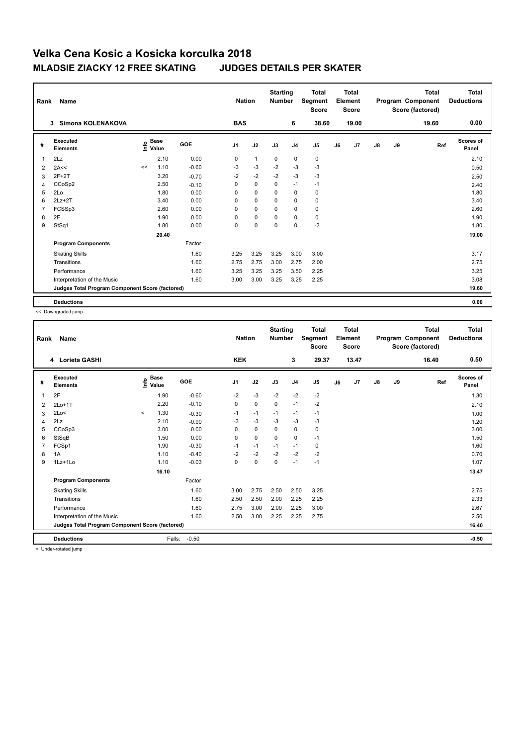## **Velka Cena Kosic a Kosicka korculka 2018 MLADSIE ZIACKY 12 FREE SKATING JUDGES DETAILS PER SKATER**

| Rank           | Name                                            |    | <b>Nation</b>                             |            | <b>Starting</b><br><b>Number</b> | <b>Total</b><br>Segment<br><b>Score</b> | Total<br>Element<br><b>Score</b> |                |                |    | <b>Total</b><br>Program Component<br>Score (factored) | Total<br><b>Deductions</b> |    |       |                           |
|----------------|-------------------------------------------------|----|-------------------------------------------|------------|----------------------------------|-----------------------------------------|----------------------------------|----------------|----------------|----|-------------------------------------------------------|----------------------------|----|-------|---------------------------|
|                | Simona KOLENAKOVA<br>3                          |    |                                           |            | <b>BAS</b>                       |                                         |                                  | 6              | 38.60          |    | 19.00                                                 |                            |    | 19.60 | 0.00                      |
| #              | Executed<br><b>Elements</b>                     |    | $\frac{e}{E}$ Base<br>$\frac{E}{E}$ Value | <b>GOE</b> | J <sub>1</sub>                   | J2                                      | J3                               | J <sub>4</sub> | J <sub>5</sub> | J6 | J7                                                    | $\mathsf{J}8$              | J9 | Ref   | <b>Scores of</b><br>Panel |
| $\overline{1}$ | 2Lz                                             |    | 2.10                                      | 0.00       | 0                                | $\mathbf{1}$                            | $\mathbf 0$                      | $\mathbf 0$    | $\mathbf 0$    |    |                                                       |                            |    |       | 2.10                      |
| 2              | 2A<<                                            | << | 1.10                                      | $-0.60$    | -3                               | $-3$                                    | $-2$                             | $-3$           | $-3$           |    |                                                       |                            |    |       | 0.50                      |
| 3              | $2F+2T$                                         |    | 3.20                                      | $-0.70$    | $-2$                             | $-2$                                    | $-2$                             | $-3$           | $-3$           |    |                                                       |                            |    |       | 2.50                      |
| 4              | CCoSp2                                          |    | 2.50                                      | $-0.10$    | 0                                | $\pmb{0}$                               | 0                                | $-1$           | $-1$           |    |                                                       |                            |    |       | 2.40                      |
| 5              | 2Lo                                             |    | 1.80                                      | 0.00       | 0                                | $\mathbf 0$                             | 0                                | $\mathbf 0$    | 0              |    |                                                       |                            |    |       | 1.80                      |
| 6              | $2Lz+2T$                                        |    | 3.40                                      | 0.00       | 0                                | $\mathbf 0$                             | 0                                | $\mathbf 0$    | 0              |    |                                                       |                            |    |       | 3.40                      |
| $\overline{7}$ | FCSSp3                                          |    | 2.60                                      | 0.00       | 0                                | $\mathbf 0$                             | $\Omega$                         | $\mathbf 0$    | 0              |    |                                                       |                            |    |       | 2.60                      |
| 8              | 2F                                              |    | 1.90                                      | 0.00       | $\Omega$                         | $\pmb{0}$                               | $\Omega$                         | $\mathbf 0$    | 0              |    |                                                       |                            |    |       | 1.90                      |
| 9              | StSq1                                           |    | 1.80                                      | 0.00       | $\mathbf 0$                      | $\pmb{0}$                               | $\pmb{0}$                        | $\mathbf 0$    | $-2$           |    |                                                       |                            |    |       | 1.80                      |
|                |                                                 |    | 20.40                                     |            |                                  |                                         |                                  |                |                |    |                                                       |                            |    |       | 19.00                     |
|                | <b>Program Components</b>                       |    |                                           | Factor     |                                  |                                         |                                  |                |                |    |                                                       |                            |    |       |                           |
|                | <b>Skating Skills</b>                           |    |                                           | 1.60       | 3.25                             | 3.25                                    | 3.25                             | 3.00           | 3.00           |    |                                                       |                            |    |       | 3.17                      |
|                | Transitions                                     |    |                                           | 1.60       | 2.75                             | 2.75                                    | 3.00                             | 2.75           | 2.00           |    |                                                       |                            |    |       | 2.75                      |
|                | Performance                                     |    |                                           | 1.60       | 3.25                             | 3.25                                    | 3.25                             | 3.50           | 2.25           |    |                                                       |                            |    |       | 3.25                      |
|                | Interpretation of the Music                     |    |                                           | 1.60       | 3.00                             | 3.00                                    | 3.25                             | 3.25           | 2.25           |    |                                                       |                            |    |       | 3.08                      |
|                | Judges Total Program Component Score (factored) |    |                                           |            |                                  |                                         |                                  |                |                |    |                                                       |                            |    |       | 19.60                     |
|                | <b>Deductions</b>                               |    |                                           |            |                                  |                                         |                                  |                |                |    |                                                       |                            |    |       | 0.00                      |

<< Downgraded jump

| Rank | Name                                            |         | <b>Nation</b>                    |            | <b>Starting</b><br><b>Number</b> | <b>Total</b><br>Segment<br>Score | <b>Total</b><br>Element<br><b>Score</b> |                |       |    | <b>Total</b><br>Program Component<br>Score (factored) | <b>Total</b><br><b>Deductions</b> |    |       |                           |
|------|-------------------------------------------------|---------|----------------------------------|------------|----------------------------------|----------------------------------|-----------------------------------------|----------------|-------|----|-------------------------------------------------------|-----------------------------------|----|-------|---------------------------|
|      | 4 Lorieta GASHI                                 |         |                                  |            | <b>KEK</b>                       |                                  |                                         | 3              | 29.37 |    | 13.47                                                 |                                   |    | 16.40 | 0.50                      |
| #    | <b>Executed</b><br><b>Elements</b>              |         | <b>Base</b><br>e Base<br>⊆ Value | <b>GOE</b> | J <sub>1</sub>                   | J2                               | J3                                      | J <sub>4</sub> | J5    | J6 | J7                                                    | $\mathsf{J}8$                     | J9 | Ref   | <b>Scores of</b><br>Panel |
| 1    | 2F                                              |         | 1.90                             | $-0.60$    | $-2$                             | $-3$                             | $-2$                                    | $-2$           | $-2$  |    |                                                       |                                   |    |       | 1.30                      |
| 2    | $2Lo+1T$                                        |         | 2.20                             | $-0.10$    | $\Omega$                         | $\mathbf 0$                      | $\Omega$                                | $-1$           | $-2$  |    |                                                       |                                   |    |       | 2.10                      |
| 3    | 2Lo<                                            | $\,<\,$ | 1.30                             | $-0.30$    | $-1$                             | $-1$                             | $-1$                                    | $-1$           | -1    |    |                                                       |                                   |    |       | 1.00                      |
| 4    | 2Lz                                             |         | 2.10                             | $-0.90$    | -3                               | $-3$                             | -3                                      | $-3$           | $-3$  |    |                                                       |                                   |    |       | 1.20                      |
| 5    | CCoSp3                                          |         | 3.00                             | 0.00       | 0                                | $\mathbf 0$                      | $\Omega$                                | $\pmb{0}$      | 0     |    |                                                       |                                   |    |       | 3.00                      |
| 6    | StSqB                                           |         | 1.50                             | 0.00       | 0                                | $\mathbf 0$                      | $\mathbf 0$                             | $\mathbf 0$    | $-1$  |    |                                                       |                                   |    |       | 1.50                      |
|      | FCSp1                                           |         | 1.90                             | $-0.30$    | $-1$                             | $-1$                             | $-1$                                    | $-1$           | 0     |    |                                                       |                                   |    |       | 1.60                      |
| 8    | 1A                                              |         | 1.10                             | $-0.40$    | $-2$                             | $-2$                             | $-2$                                    | $-2$           | $-2$  |    |                                                       |                                   |    |       | 0.70                      |
| 9    | 1Lz+1Lo                                         |         | 1.10                             | $-0.03$    | 0                                | $\pmb{0}$                        | $\mathbf 0$                             | $-1$           | $-1$  |    |                                                       |                                   |    |       | 1.07                      |
|      |                                                 |         | 16.10                            |            |                                  |                                  |                                         |                |       |    |                                                       |                                   |    |       | 13.47                     |
|      | <b>Program Components</b>                       |         |                                  | Factor     |                                  |                                  |                                         |                |       |    |                                                       |                                   |    |       |                           |
|      | <b>Skating Skills</b>                           |         |                                  | 1.60       | 3.00                             | 2.75                             | 2.50                                    | 2.50           | 3.25  |    |                                                       |                                   |    |       | 2.75                      |
|      | Transitions                                     |         |                                  | 1.60       | 2.50                             | 2.50                             | 2.00                                    | 2.25           | 2.25  |    |                                                       |                                   |    |       | 2.33                      |
|      | Performance                                     |         |                                  | 1.60       | 2.75                             | 3.00                             | 2.00                                    | 2.25           | 3.00  |    |                                                       |                                   |    |       | 2.67                      |
|      | Interpretation of the Music                     |         |                                  | 1.60       | 2.50                             | 3.00                             | 2.25                                    | 2.25           | 2.75  |    |                                                       |                                   |    |       | 2.50                      |
|      | Judges Total Program Component Score (factored) |         |                                  |            |                                  |                                  |                                         |                |       |    |                                                       | 16.40                             |    |       |                           |
|      | <b>Deductions</b>                               |         | Falls:                           | $-0.50$    |                                  |                                  |                                         |                |       |    |                                                       |                                   |    |       | $-0.50$                   |

< Under-rotated jump